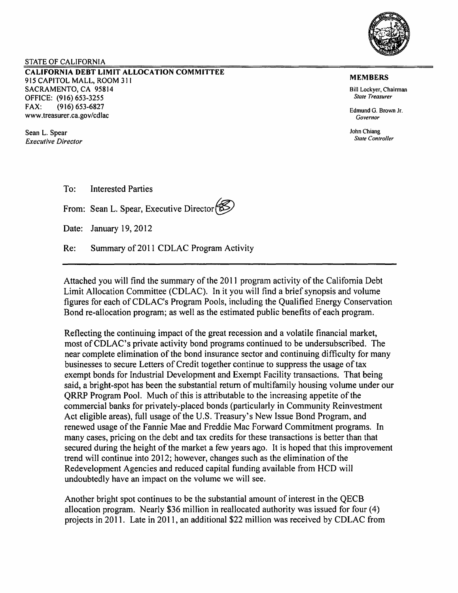

### STATE OF CALIFORNIA

CALIFORNIA DEBT LIMIT ALLOCATION COMMITTEE 915 CAPITOL MALL, ROOM 311 SACRAMENTO, CA 95814 OFFICE: (916) 653-3255 FAX: (916) 653-6827 www.treasurer.ca.gov/cdlac

Sean L. Spear *Executive Director* 

#### MEMBERS

Bill Lockver, Chairman *Stale Treasurer* 

Edmund G. Brown Jr. *Governor* 

John Chiang *State Controller* 

To: Interested Parties

From: Sean L. Spear, Executive Director

Date: January 19, 2012

Re: Summary of 2011 CDLAC Program Activity

Attached you will find the summary of the 2011 program activity of the California Debt Limit Allocation Committee (CDLAC). In it you will find a brief synopsis and volume figures for each of CDLAC's Program Pools, including the Qualified Energy Conservation Bond re-allocation program; as well as the estimated public benefits of each program.

Reflecting the continuing impact of the great recession and a volatile financial market, most of CDLAC's private activity bond programs continued to be undersubscribed. The near complete elimination of the bond insurance sector and continuing difficulty for many businesses to secure Letters of Credit together continue to suppress the usage oftax exempt bonds for Industrial Development and Exempt Facility transactions. That being said, a bright-spot has been the substantial return of multifamily housing volume under our QRRP Program Pool. Much of this is attributable to the increasing appetite of the commercial banks for privately-placed bonds (particularly in Community Reinvestment Act eligible areas), full usage of the U.S. Treasury's New Issue Bond Program, and renewed usage of the Fannie Mae and Freddie Mac Forward Commitment programs. In many cases, pricing on the debt and tax credits for these transactions is better than that secured during the height of the market a few years ago. It is hoped that this improvement trend will continue into 2012; however, changes such as the elimination of the Redevelopment Agencies and reduced capital funding available from HCD will undoubtedly have an impact on the volume we will see.

Another bright spot continues to be the substantial amount of interest in the QECB allocation program. Nearly \$36 million in reallocated authority was issued for four (4) projects in 2011. Late in 2011, an additional \$22 million was received by CDLAC from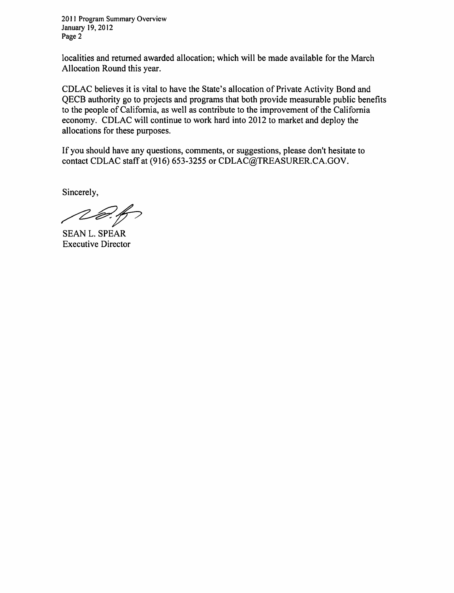2011 Program Summary Overview January 19,2012 Page 2

localities and returned awarded allocation; which will be made available for the March Allocation Round this year.

CD LAC believes it is vital to have the State's allocation of Private Activity Bond and QECB authority go to projects and programs that both provide measurable public benefits to the people of California, as well as contribute to the improvement of the California economy. CDLAC will continue to work hard into 2012 to market and deploy the allocations for these purposes.

If you should have any questions, comments, or suggestions, please don't hesitate to contact CDLAC staff at (916) 653-3255 or CDLAC@TREASURER.CA.GOV.

Sincerely,

~r SEAN L. SPEAR

Executive Director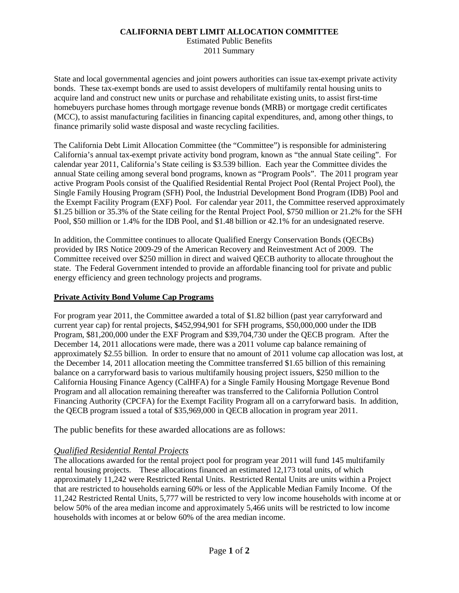### **CALIFORNIA DEBT LIMIT ALLOCATION COMMITTEE**

Summary **Estimated Public Benefits** 

 bonds. These tax-exempt bonds are used to assist developers of multifamily rental housing units to (MCC), to assist manufacturing facilities in financing capital expenditures, and, among other things, to State and local governmental agencies and joint powers authorities can issue tax-exempt private activity acquire land and construct new units or purchase and rehabilitate existing units, to assist first-time homebuyers purchase homes through mortgage revenue bonds (MRB) or mortgage credit certificates finance primarily solid waste disposal and waste recycling facilities.

 \$1.25 billion or 35.3% of the State ceiling for the Rental Project Pool, \$750 million or 21.2% for the SFH Pool, \$50 million or 1.4% for the IDB Pool, and \$1.48 billion or 42.1% for an undesignated reserve. The California Debt Limit Allocation Committee (the "Committee") is responsible for administering California's annual tax-exempt private activity bond program, known as "the annual State ceiling". For calendar year 2011, California's State ceiling is \$3.539 billion. Each year the Committee divides the annual State ceiling among several bond programs, known as "Program Pools". The 2011 program year active Program Pools consist of the Qualified Residential Rental Project Pool (Rental Project Pool), the Single Family Housing Program (SFH) Pool, the Industrial Development Bond Program (IDB) Pool and the Exempt Facility Program (EXF) Pool. For calendar year 2011, the Committee reserved approximately

 provided by IRS Notice 2009-29 of the American Recovery and Reinvestment Act of 2009. The state. The Federal Government intended to provide an affordable financing tool for private and public In addition, the Committee continues to allocate Qualified Energy Conservation Bonds (QECBs) Committee received over \$250 million in direct and waived QECB authority to allocate throughout the energy efficiency and green technology projects and programs.

## **Private Activity Bond Volume Cap Programs**

 For program year 2011, the Committee awarded a total of \$1.82 billion (past year carryforward and current year cap) for rental projects, \$452,994,901 for SFH programs, \$50,000,000 under the IDB Program, \$81,200,000 under the EXF Program and \$39,704,730 under the QECB program. After the December 14, 2011 allocations were made, there was a 2011 volume cap balance remaining of approximately \$2.55 billion. In order to ensure that no amount of 2011 volume cap allocation was lost, at the December 14, 2011 allocation meeting the Committee transferred \$1.65 billion of this remaining California Housing Finance Agency (CalHFA) for a Single Family Housing Mortgage Revenue Bond balance on a carryforward basis to various multifamily housing project issuers, \$250 million to the Program and all allocation remaining thereafter was transferred to the California Pollution Control Financing Authority (CPCFA) for the Exempt Facility Program all on a carryforward basis. In addition, the QECB program issued a total of \$35,969,000 in QECB allocation in program year 2011.

The public benefits for these awarded allocations are as follows:

# *Qualified Residential Rental Projects*

 rental housing projects. These allocations financed an estimated 12,173 total units, of which approximately 11,242 were Restricted Rental Units. Restricted Rental Units are units within a Project that are restricted to households earning 60% or less of the Applicable Median Family Income. Of the below 50% of the area median income and approximately 5,466 units will be restricted to low income The allocations awarded for the rental project pool for program year 2011 will fund 145 multifamily 11,242 Restricted Rental Units, 5,777 will be restricted to very low income households with income at or households with incomes at or below 60% of the area median income.